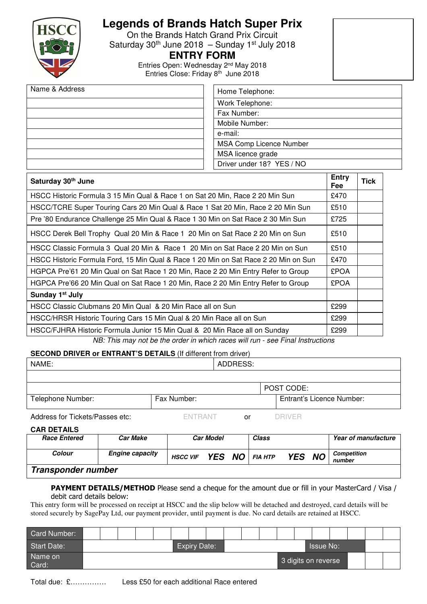

# **Legends of Brands Hatch Super Prix**

On the Brands Hatch Grand Prix Circuit Saturday  $30<sup>th</sup>$  June 2018 – Sunday 1st July 2018

### **ENTRY FORM**

Entries Open: Wednesday 2nd May 2018 Entries Close: Friday 8<sup>th</sup> June 2018

| Name & Address | Home Telephone:                |
|----------------|--------------------------------|
|                | Work Telephone:                |
|                | Fax Number:                    |
|                | Mobile Number:                 |
|                | e-mail:                        |
|                | <b>MSA Comp Licence Number</b> |
|                | MSA licence grade              |
|                | Driver under 18? YES / NO      |

| Saturday 30 <sup>th</sup> June                                                      | <b>Entry</b><br><b>Fee</b> | <b>Tick</b> |
|-------------------------------------------------------------------------------------|----------------------------|-------------|
| HSCC Historic Formula 3 15 Min Qual & Race 1 on Sat 20 Min, Race 2 20 Min Sun       | £470                       |             |
| HSCC/TCRE Super Touring Cars 20 Min Qual & Race 1 Sat 20 Min, Race 2 20 Min Sun     | £510                       |             |
| Pre '80 Endurance Challenge 25 Min Qual & Race 1 30 Min on Sat Race 2 30 Min Sun    | £725                       |             |
| HSCC Derek Bell Trophy Qual 20 Min & Race 1 20 Min on Sat Race 2 20 Min on Sun      | £510                       |             |
| HSCC Classic Formula 3 Qual 20 Min & Race 1 20 Min on Sat Race 2 20 Min on Sun      | £510                       |             |
| HSCC Historic Formula Ford, 15 Min Qual & Race 1 20 Min on Sat Race 2 20 Min on Sun | £470                       |             |
| HGPCA Pre'61 20 Min Qual on Sat Race 1 20 Min, Race 2 20 Min Entry Refer to Group   | <b>£POA</b>                |             |
| HGPCA Pre'66 20 Min Qual on Sat Race 1 20 Min, Race 2 20 Min Entry Refer to Group   | <b>£POA</b>                |             |
| Sunday 1 <sup>st</sup> July                                                         |                            |             |
| HSCC Classic Clubmans 20 Min Qual & 20 Min Race all on Sun                          | £299                       |             |
| HSCC/HRSR Historic Touring Cars 15 Min Qual & 20 Min Race all on Sun                | £299                       |             |
| HSCC/FJHRA Historic Formula Junior 15 Min Qual & 20 Min Race all on Sunday          | £299                       |             |

NB: This may not be the order in which races will run - see Final Instructions

### **SECOND DRIVER or ENTRANT'S DETAILS** (If different from driver)

| NAME:             |             | ADDRESS: |                                  |
|-------------------|-------------|----------|----------------------------------|
|                   |             |          |                                  |
|                   |             |          | POST CODE:                       |
| Telephone Number: | Fax Number: |          | <b>Entrant's Licence Number:</b> |

Address for Tickets/Passes etc: ENTRANT or DRIVER

### **CAR DETAILS**

| <b>Race Entered</b> | Car Make               | <b>Car Model</b> |        |  | Class          |            | Year of manufacture |                              |
|---------------------|------------------------|------------------|--------|--|----------------|------------|---------------------|------------------------------|
| <b>Colour</b>       | <b>Engine capacity</b> | <b>HSCC VIF</b>  | YES NO |  | <b>FIA HTP</b> | <b>YES</b> | <b>NO</b>           | <b>Competition</b><br>number |
| Transponder number  |                        |                  |        |  |                |            |                     |                              |

#### PAYMENT DETAILS/METHOD Please send a cheque for the amount due or fill in your MasterCard / Visa / debit card details below:

This entry form will be processed on receipt at HSCC and the slip below will be detached and destroyed, card details will be stored securely by SagePay Ltd, our payment provider, until payment is due. No card details are retained at HSCC.

| Card Number:       |                     |  |  |  |                  |  |  |  |  |  |  |                     |  |  |  |
|--------------------|---------------------|--|--|--|------------------|--|--|--|--|--|--|---------------------|--|--|--|
| <b>Start Date:</b> | <b>Expiry Date:</b> |  |  |  | <b>Issue No:</b> |  |  |  |  |  |  |                     |  |  |  |
| Name on<br>Card:   |                     |  |  |  |                  |  |  |  |  |  |  | 3 digits on reverse |  |  |  |